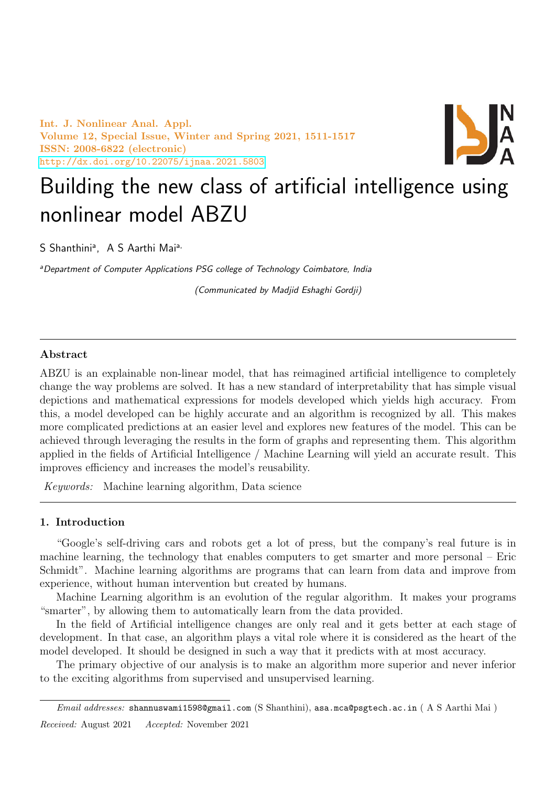Int. J. Nonlinear Anal. Appl. Volume 12, Special Issue, Winter and Spring 2021, 1511-1517 ISSN: 2008-6822 (electronic) <http://dx.doi.org/10.22075/ijnaa.2021.5803>



# Building the new class of artificial intelligence using nonlinear model ABZU

S Shanthini<sup>a</sup>, A S Aarthi Mai<sup>a,</sup>

<sup>a</sup>Department of Computer Applications PSG college of Technology Coimbatore, India

(Communicated by Madjid Eshaghi Gordji)

# Abstract

ABZU is an explainable non-linear model, that has reimagined artificial intelligence to completely change the way problems are solved. It has a new standard of interpretability that has simple visual depictions and mathematical expressions for models developed which yields high accuracy. From this, a model developed can be highly accurate and an algorithm is recognized by all. This makes more complicated predictions at an easier level and explores new features of the model. This can be achieved through leveraging the results in the form of graphs and representing them. This algorithm applied in the fields of Artificial Intelligence / Machine Learning will yield an accurate result. This improves efficiency and increases the model's reusability.

Keywords: Machine learning algorithm, Data science

# 1. Introduction

"Google's self-driving cars and robots get a lot of press, but the company's real future is in machine learning, the technology that enables computers to get smarter and more personal – Eric Schmidt". Machine learning algorithms are programs that can learn from data and improve from experience, without human intervention but created by humans.

Machine Learning algorithm is an evolution of the regular algorithm. It makes your programs "smarter", by allowing them to automatically learn from the data provided.

In the field of Artificial intelligence changes are only real and it gets better at each stage of development. In that case, an algorithm plays a vital role where it is considered as the heart of the model developed. It should be designed in such a way that it predicts with at most accuracy.

The primary objective of our analysis is to make an algorithm more superior and never inferior to the exciting algorithms from supervised and unsupervised learning.

Email addresses: shannuswami1598@gmail.com (S Shanthini), asa.mca@psgtech.ac.in ( A S Aarthi Mai ) Received: August 2021 Accepted: November 2021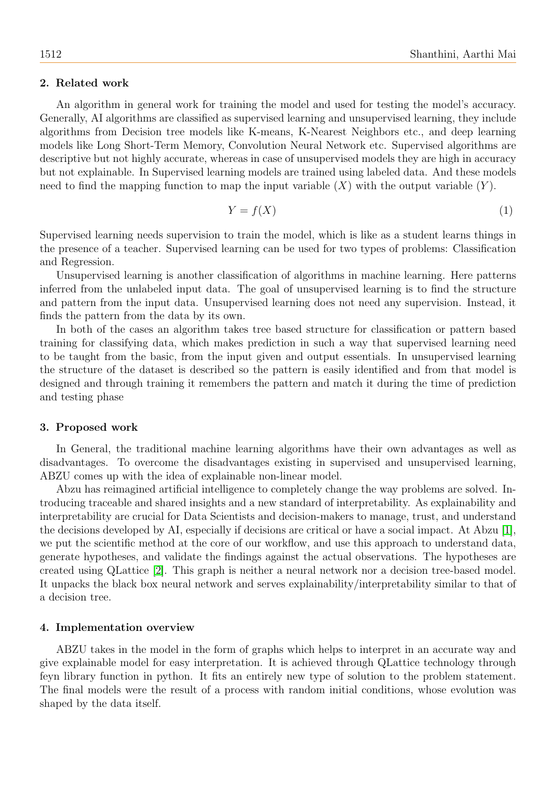## 2. Related work

An algorithm in general work for training the model and used for testing the model's accuracy. Generally, AI algorithms are classified as supervised learning and unsupervised learning, they include algorithms from Decision tree models like K-means, K-Nearest Neighbors etc., and deep learning models like Long Short-Term Memory, Convolution Neural Network etc. Supervised algorithms are descriptive but not highly accurate, whereas in case of unsupervised models they are high in accuracy but not explainable. In Supervised learning models are trained using labeled data. And these models need to find the mapping function to map the input variable  $(X)$  with the output variable  $(Y)$ .

$$
Y = f(X) \tag{1}
$$

Supervised learning needs supervision to train the model, which is like as a student learns things in the presence of a teacher. Supervised learning can be used for two types of problems: Classification and Regression.

Unsupervised learning is another classification of algorithms in machine learning. Here patterns inferred from the unlabeled input data. The goal of unsupervised learning is to find the structure and pattern from the input data. Unsupervised learning does not need any supervision. Instead, it finds the pattern from the data by its own.

In both of the cases an algorithm takes tree based structure for classification or pattern based training for classifying data, which makes prediction in such a way that supervised learning need to be taught from the basic, from the input given and output essentials. In unsupervised learning the structure of the dataset is described so the pattern is easily identified and from that model is designed and through training it remembers the pattern and match it during the time of prediction and testing phase

#### 3. Proposed work

In General, the traditional machine learning algorithms have their own advantages as well as disadvantages. To overcome the disadvantages existing in supervised and unsupervised learning, ABZU comes up with the idea of explainable non-linear model.

Abzu has reimagined artificial intelligence to completely change the way problems are solved. Introducing traceable and shared insights and a new standard of interpretability. As explainability and interpretability are crucial for Data Scientists and decision-makers to manage, trust, and understand the decisions developed by AI, especially if decisions are critical or have a social impact. At Abzu [\[1\]](#page-6-0), we put the scientific method at the core of our workflow, and use this approach to understand data, generate hypotheses, and validate the findings against the actual observations. The hypotheses are created using QLattice [\[2\]](#page-6-1). This graph is neither a neural network nor a decision tree-based model. It unpacks the black box neural network and serves explainability/interpretability similar to that of a decision tree.

## 4. Implementation overview

ABZU takes in the model in the form of graphs which helps to interpret in an accurate way and give explainable model for easy interpretation. It is achieved through QLattice technology through feyn library function in python. It fits an entirely new type of solution to the problem statement. The final models were the result of a process with random initial conditions, whose evolution was shaped by the data itself.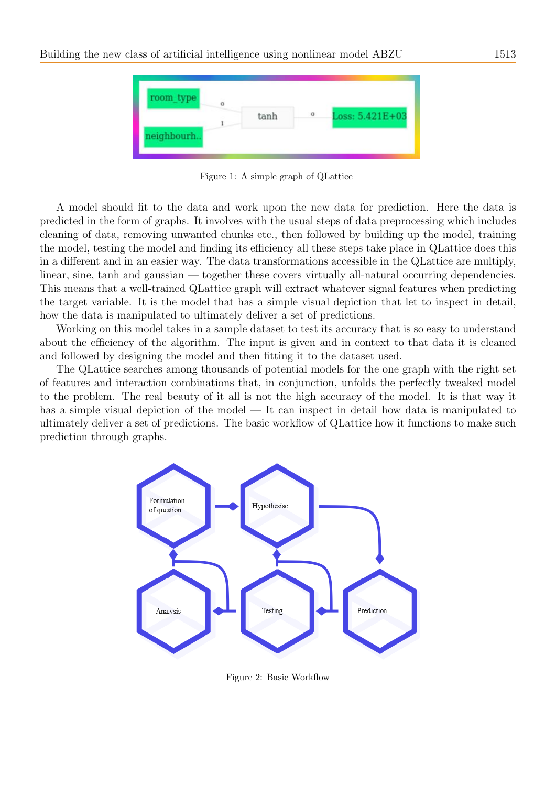

Figure 1: A simple graph of QLattice

A model should fit to the data and work upon the new data for prediction. Here the data is predicted in the form of graphs. It involves with the usual steps of data preprocessing which includes cleaning of data, removing unwanted chunks etc., then followed by building up the model, training the model, testing the model and finding its efficiency all these steps take place in QLattice does this in a different and in an easier way. The data transformations accessible in the QLattice are multiply, linear, sine, tanh and gaussian — together these covers virtually all-natural occurring dependencies. This means that a well-trained QLattice graph will extract whatever signal features when predicting the target variable. It is the model that has a simple visual depiction that let to inspect in detail, how the data is manipulated to ultimately deliver a set of predictions.

Working on this model takes in a sample dataset to test its accuracy that is so easy to understand about the efficiency of the algorithm. The input is given and in context to that data it is cleaned and followed by designing the model and then fitting it to the dataset used.

The QLattice searches among thousands of potential models for the one graph with the right set of features and interaction combinations that, in conjunction, unfolds the perfectly tweaked model to the problem. The real beauty of it all is not the high accuracy of the model. It is that way it has a simple visual depiction of the model — It can inspect in detail how data is manipulated to ultimately deliver a set of predictions. The basic workflow of QLattice how it functions to make such prediction through graphs.



Figure 2: Basic Workflow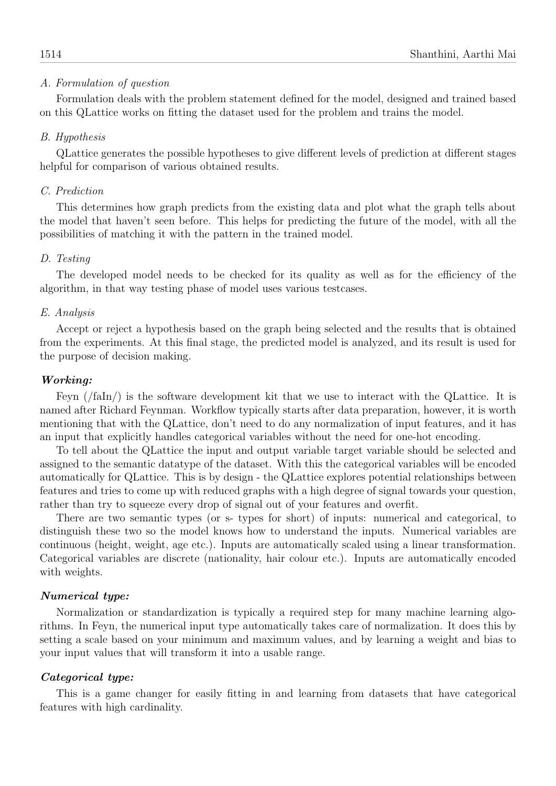# A. Formulation of question

Formulation deals with the problem statement defined for the model, designed and trained based on this QLattice works on fitting the dataset used for the problem and trains the model.

# B. Hypothesis

QLattice generates the possible hypotheses to give different levels of prediction at different stages helpful for comparison of various obtained results.

#### C. Prediction

This determines how graph predicts from the existing data and plot what the graph tells about the model that haven't seen before. This helps for predicting the future of the model, with all the possibilities of matching it with the pattern in the trained model.

#### D. Testing

The developed model needs to be checked for its quality as well as for the efficiency of the algorithm, in that way testing phase of model uses various testcases.

#### E. Analysis

Accept or reject a hypothesis based on the graph being selected and the results that is obtained from the experiments. At this final stage, the predicted model is analyzed, and its result is used for the purpose of decision making.

## Working:

Feyn (/faIn/) is the software development kit that we use to interact with the QLattice. It is named after Richard Feynman. Workflow typically starts after data preparation, however, it is worth mentioning that with the QLattice, don't need to do any normalization of input features, and it has an input that explicitly handles categorical variables without the need for one-hot encoding.

To tell about the QLattice the input and output variable target variable should be selected and assigned to the semantic datatype of the dataset. With this the categorical variables will be encoded automatically for QLattice. This is by design - the QLattice explores potential relationships between features and tries to come up with reduced graphs with a high degree of signal towards your question, rather than try to squeeze every drop of signal out of your features and overfit.

There are two semantic types (or s- types for short) of inputs: numerical and categorical, to distinguish these two so the model knows how to understand the inputs. Numerical variables are continuous (height, weight, age etc.). Inputs are automatically scaled using a linear transformation. Categorical variables are discrete (nationality, hair colour etc.). Inputs are automatically encoded with weights.

# Numerical type:

Normalization or standardization is typically a required step for many machine learning algorithms. In Feyn, the numerical input type automatically takes care of normalization. It does this by setting a scale based on your minimum and maximum values, and by learning a weight and bias to your input values that will transform it into a usable range.

# Categorical type:

This is a game changer for easily fitting in and learning from datasets that have categorical features with high cardinality.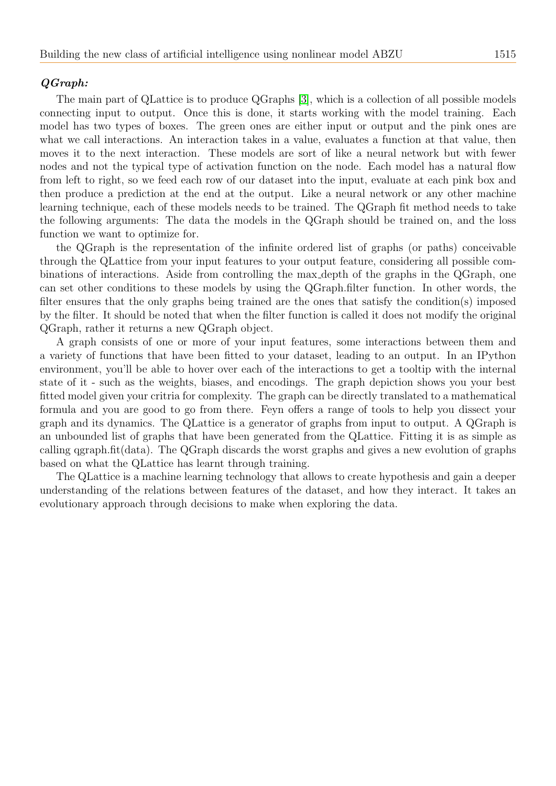# QGraph:

The main part of QLattice is to produce QGraphs [\[3\]](#page-6-2), which is a collection of all possible models connecting input to output. Once this is done, it starts working with the model training. Each model has two types of boxes. The green ones are either input or output and the pink ones are what we call interactions. An interaction takes in a value, evaluates a function at that value, then moves it to the next interaction. These models are sort of like a neural network but with fewer nodes and not the typical type of activation function on the node. Each model has a natural flow from left to right, so we feed each row of our dataset into the input, evaluate at each pink box and then produce a prediction at the end at the output. Like a neural network or any other machine learning technique, each of these models needs to be trained. The QGraph fit method needs to take the following arguments: The data the models in the QGraph should be trained on, and the loss function we want to optimize for.

the QGraph is the representation of the infinite ordered list of graphs (or paths) conceivable through the QLattice from your input features to your output feature, considering all possible combinations of interactions. Aside from controlling the max depth of the graphs in the QGraph, one can set other conditions to these models by using the QGraph.filter function. In other words, the filter ensures that the only graphs being trained are the ones that satisfy the condition(s) imposed by the filter. It should be noted that when the filter function is called it does not modify the original QGraph, rather it returns a new QGraph object.

A graph consists of one or more of your input features, some interactions between them and a variety of functions that have been fitted to your dataset, leading to an output. In an IPython environment, you'll be able to hover over each of the interactions to get a tooltip with the internal state of it - such as the weights, biases, and encodings. The graph depiction shows you your best fitted model given your critria for complexity. The graph can be directly translated to a mathematical formula and you are good to go from there. Feyn offers a range of tools to help you dissect your graph and its dynamics. The QLattice is a generator of graphs from input to output. A QGraph is an unbounded list of graphs that have been generated from the QLattice. Fitting it is as simple as calling qgraph.fit(data). The QGraph discards the worst graphs and gives a new evolution of graphs based on what the QLattice has learnt through training.

The QLattice is a machine learning technology that allows to create hypothesis and gain a deeper understanding of the relations between features of the dataset, and how they interact. It takes an evolutionary approach through decisions to make when exploring the data.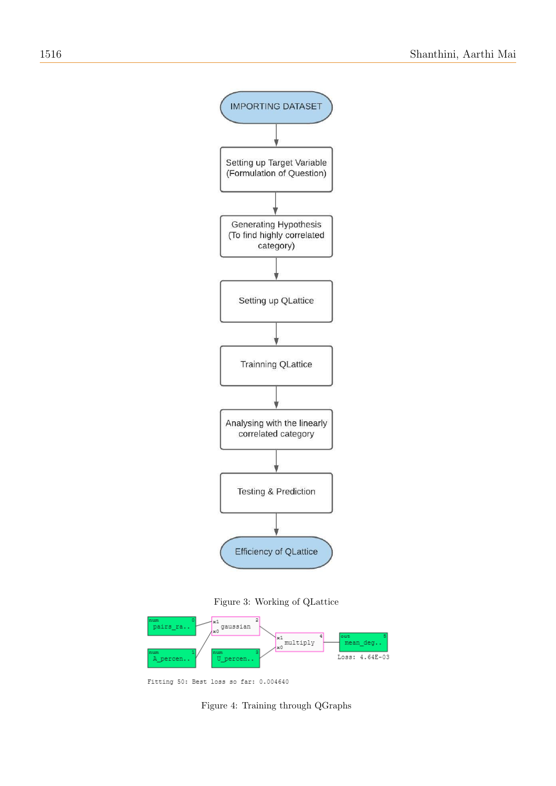

Figure 3: Working of QLattice



Fitting 50: Best loss so far: 0.004640

Figure 4: Training through QGraphs